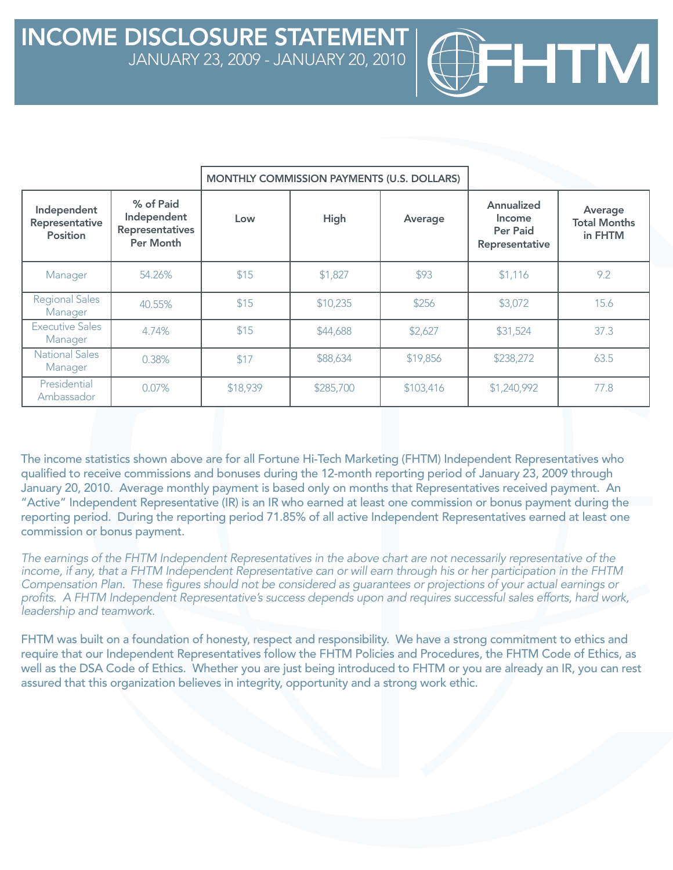|                                                  |                                                                 | MONTHLY COMMISSION PAYMENTS (U.S. DOLLARS) |           |           |                                                           |                                           |
|--------------------------------------------------|-----------------------------------------------------------------|--------------------------------------------|-----------|-----------|-----------------------------------------------------------|-------------------------------------------|
| Independent<br>Representative<br><b>Position</b> | % of Paid<br>Independent<br><b>Representatives</b><br>Per Month | Low                                        | High      | Average   | Annualized<br>Income<br><b>Per Paid</b><br>Representative | Average<br><b>Total Months</b><br>in FHTM |
| Manager                                          | 54.26%                                                          | \$15                                       | \$1,827   | \$93      | \$1,116                                                   | 9.2                                       |
| <b>Regional Sales</b><br>Manager                 | 40.55%                                                          | \$15                                       | \$10,235  | \$256     | \$3,072                                                   | 15.6                                      |
| Executive Sales<br>Manager                       | 4.74%                                                           | \$15                                       | \$44,688  | \$2,627   | \$31,524                                                  | 37.3                                      |
| <b>National Sales</b><br>Manager                 | 0.38%                                                           | \$17                                       | \$88,634  | \$19,856  | \$238,272                                                 | 63.5                                      |
| Presidential<br>Ambassador                       | 0.07%                                                           | \$18,939                                   | \$285,700 | \$103,416 | \$1,240,992                                               | 77.8                                      |

HTM

The income statistics shown above are for all Fortune Hi-Tech Marketing (FHTM) Independent Representatives who qualified to receive commissions and bonuses during the 12-month reporting period of January 23, 2009 through January 20, 2010. Average monthly payment is based only on months that Representatives received payment. An "Active" Independent Representative (IR) is an IR who earned at least one commission or bonus payment during the reporting period. During the reporting period 71.85% of all active Independent Representatives earned at least one commission or bonus payment.

*The earnings of the FHTM Independent Representatives in the above chart are not necessarily representative of the income, if any, that a FHTM Independent Representative can or will earn through his or her participation in the FHTM Compensation Plan. These figures should not be considered as guarantees or projections of your actual earnings or*  profits. A FHTM Independent Representative's success depends upon and requires successful sales efforts, hard work, *leadership and teamwork.* 

FHTM was built on a foundation of honesty, respect and responsibility. We have a strong commitment to ethics and require that our Independent Representatives follow the FHTM Policies and Procedures, the FHTM Code of Ethics, as well as the DSA Code of Ethics. Whether you are just being introduced to FHTM or you are already an IR, you can rest assured that this organization believes in integrity, opportunity and a strong work ethic.